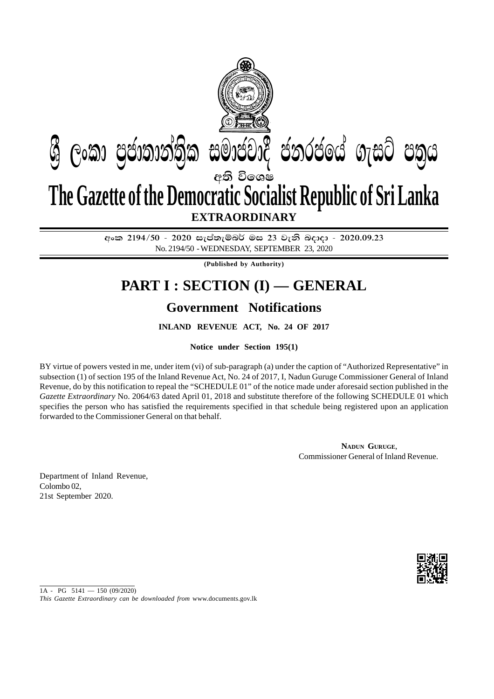

අංක 2194/50 - 2020 සැප්තැම්බර් මස 23 වැනි බදාදා - 2020.09.23 No. 2194/50 - WEDNESDAY, SEPTEMBER 23, 2020

**(Published by Authority)**

## **PART I : SECTION (I) — GENERAL**

## **Government Notifications**

**INLAND REVENUE ACT, No. 24 OF 2017**

**Notice under Section 195(1)**

BY virtue of powers vested in me, under item (vi) of sub-paragraph (a) under the caption of "Authorized Representative" in subsection (1) of section 195 of the Inland Revenue Act, No. 24 of 2017, I, Nadun Guruge Commissioner General of Inland Revenue, do by this notification to repeal the "SCHEDULE 01" of the notice made under aforesaid section published in the *Gazette Extraordinary* No. 2064/63 dated April 01, 2018 and substitute therefore of the following SCHEDULE 01 which specifies the person who has satisfied the requirements specified in that schedule being registered upon an application forwarded to the Commissioner General on that behalf.

> **NADUN GURUGE**, Commissioner General of Inland Revenue.

Department of Inland Revenue, Colombo 02, 21st September 2020.



 $1A - PG$  5141 - 150 (09/2020)

*This Gazette Extraordinary can be downloaded from* www.documents.gov.lk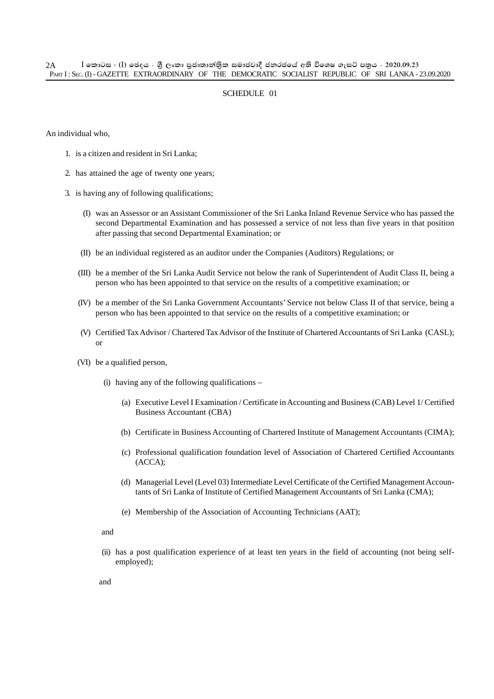## SCHEDULE 01

An individual who,

- 1. is a citizen and resident in Sri Lanka;
- 2. has attained the age of twenty one years;
- 3. is having any of following qualifications;
	- (I) was an Assessor or an Assistant Commissioner of the Sri Lanka Inland Revenue Service who has passed the second Departmental Examination and has possessed a service of not less than five years in that position after passing that second Departmental Examination; or
	- (II) be an individual registered as an auditor under the Companies (Auditors) Regulations; or
	- (III) be a member of the Sri Lanka Audit Service not below the rank of Superintendent of Audit Class II, being a person who has been appointed to that service on the results of a competitive examination; or
	- (IV) be a member of the Sri Lanka Government Accountants' Service not below Class II of that service, being a person who has been appointed to that service on the results of a competitive examination; or
	- (V) Certified Tax Advisor / Chartered Tax Advisor of the Institute of Chartered Accountants of Sri Lanka (CASL); or
	- (VI) be a qualified person,
		- (i) having any of the following qualifications  $-$ 
			- (a) Executive Level I Examination / Certificate in Accounting and Business (CAB) Level 1/ Certified Business Accountant (CBA)
			- (b) Certificate in Business Accounting of Chartered Institute of Management Accountants (CIMA);
			- (c) Professional qualification foundation level of Association of Chartered Certified Accountants (ACCA);
			- (d) Managerial Level (Level 03) Intermediate Level Certificate of the Certified Management Accountants of Sri Lanka of Institute of Certified Management Accountants of Sri Lanka (CMA);
			- (e) Membership of the Association of Accounting Technicians (AAT);

and

(ii) has a post qualification experience of at least ten years in the field of accounting (not being selfemployed);

and